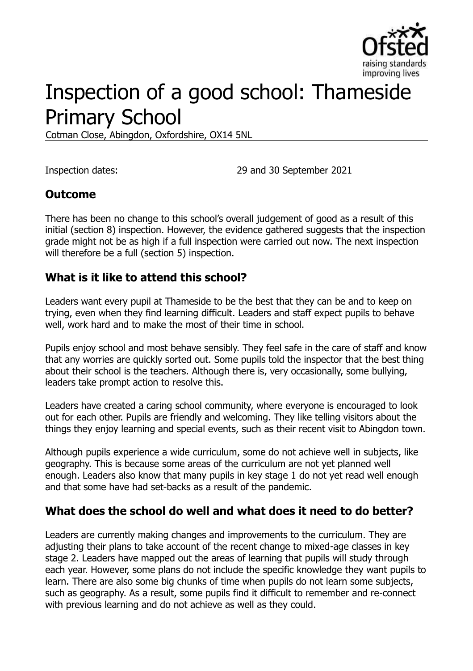

# Inspection of a good school: Thameside Primary School

Cotman Close, Abingdon, Oxfordshire, OX14 5NL

Inspection dates: 29 and 30 September 2021

#### **Outcome**

There has been no change to this school's overall judgement of good as a result of this initial (section 8) inspection. However, the evidence gathered suggests that the inspection grade might not be as high if a full inspection were carried out now. The next inspection will therefore be a full (section 5) inspection.

#### **What is it like to attend this school?**

Leaders want every pupil at Thameside to be the best that they can be and to keep on trying, even when they find learning difficult. Leaders and staff expect pupils to behave well, work hard and to make the most of their time in school.

Pupils enjoy school and most behave sensibly. They feel safe in the care of staff and know that any worries are quickly sorted out. Some pupils told the inspector that the best thing about their school is the teachers. Although there is, very occasionally, some bullying, leaders take prompt action to resolve this.

Leaders have created a caring school community, where everyone is encouraged to look out for each other. Pupils are friendly and welcoming. They like telling visitors about the things they enjoy learning and special events, such as their recent visit to Abingdon town.

Although pupils experience a wide curriculum, some do not achieve well in subjects, like geography. This is because some areas of the curriculum are not yet planned well enough. Leaders also know that many pupils in key stage 1 do not yet read well enough and that some have had set-backs as a result of the pandemic.

#### **What does the school do well and what does it need to do better?**

Leaders are currently making changes and improvements to the curriculum. They are adjusting their plans to take account of the recent change to mixed-age classes in key stage 2. Leaders have mapped out the areas of learning that pupils will study through each year. However, some plans do not include the specific knowledge they want pupils to learn. There are also some big chunks of time when pupils do not learn some subjects, such as geography. As a result, some pupils find it difficult to remember and re-connect with previous learning and do not achieve as well as they could.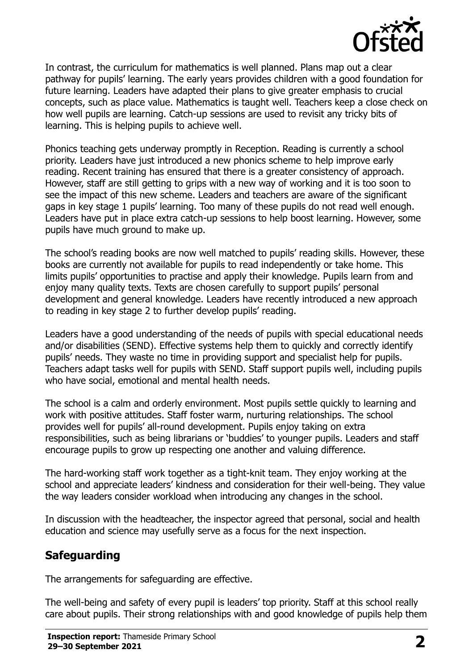

In contrast, the curriculum for mathematics is well planned. Plans map out a clear pathway for pupils' learning. The early years provides children with a good foundation for future learning. Leaders have adapted their plans to give greater emphasis to crucial concepts, such as place value. Mathematics is taught well. Teachers keep a close check on how well pupils are learning. Catch-up sessions are used to revisit any tricky bits of learning. This is helping pupils to achieve well.

Phonics teaching gets underway promptly in Reception. Reading is currently a school priority. Leaders have just introduced a new phonics scheme to help improve early reading. Recent training has ensured that there is a greater consistency of approach. However, staff are still getting to grips with a new way of working and it is too soon to see the impact of this new scheme. Leaders and teachers are aware of the significant gaps in key stage 1 pupils' learning. Too many of these pupils do not read well enough. Leaders have put in place extra catch-up sessions to help boost learning. However, some pupils have much ground to make up.

The school's reading books are now well matched to pupils' reading skills. However, these books are currently not available for pupils to read independently or take home. This limits pupils' opportunities to practise and apply their knowledge. Pupils learn from and enjoy many quality texts. Texts are chosen carefully to support pupils' personal development and general knowledge. Leaders have recently introduced a new approach to reading in key stage 2 to further develop pupils' reading.

Leaders have a good understanding of the needs of pupils with special educational needs and/or disabilities (SEND). Effective systems help them to quickly and correctly identify pupils' needs. They waste no time in providing support and specialist help for pupils. Teachers adapt tasks well for pupils with SEND. Staff support pupils well, including pupils who have social, emotional and mental health needs.

The school is a calm and orderly environment. Most pupils settle quickly to learning and work with positive attitudes. Staff foster warm, nurturing relationships. The school provides well for pupils' all-round development. Pupils enjoy taking on extra responsibilities, such as being librarians or 'buddies' to younger pupils. Leaders and staff encourage pupils to grow up respecting one another and valuing difference.

The hard-working staff work together as a tight-knit team. They enjoy working at the school and appreciate leaders' kindness and consideration for their well-being. They value the way leaders consider workload when introducing any changes in the school.

In discussion with the headteacher, the inspector agreed that personal, social and health education and science may usefully serve as a focus for the next inspection.

# **Safeguarding**

The arrangements for safeguarding are effective.

The well-being and safety of every pupil is leaders' top priority. Staff at this school really care about pupils. Their strong relationships with and good knowledge of pupils help them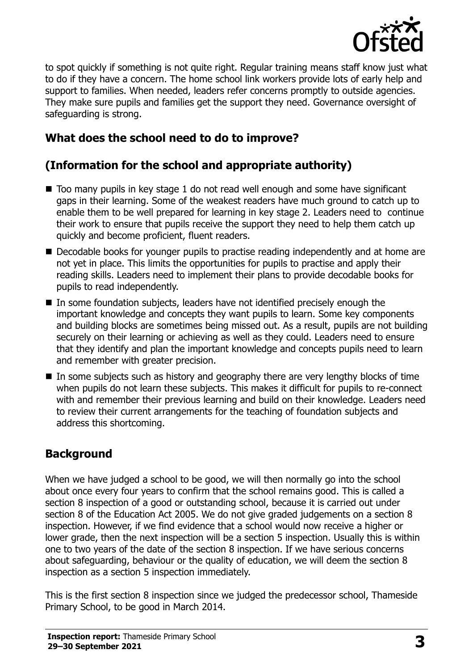

to spot quickly if something is not quite right. Regular training means staff know just what to do if they have a concern. The home school link workers provide lots of early help and support to families. When needed, leaders refer concerns promptly to outside agencies. They make sure pupils and families get the support they need. Governance oversight of safeguarding is strong.

# **What does the school need to do to improve?**

# **(Information for the school and appropriate authority)**

- Too many pupils in key stage 1 do not read well enough and some have significant gaps in their learning. Some of the weakest readers have much ground to catch up to enable them to be well prepared for learning in key stage 2. Leaders need to continue their work to ensure that pupils receive the support they need to help them catch up quickly and become proficient, fluent readers.
- Decodable books for younger pupils to practise reading independently and at home are not yet in place. This limits the opportunities for pupils to practise and apply their reading skills. Leaders need to implement their plans to provide decodable books for pupils to read independently.
- In some foundation subjects, leaders have not identified precisely enough the important knowledge and concepts they want pupils to learn. Some key components and building blocks are sometimes being missed out. As a result, pupils are not building securely on their learning or achieving as well as they could. Leaders need to ensure that they identify and plan the important knowledge and concepts pupils need to learn and remember with greater precision.
- $\blacksquare$  In some subjects such as history and geography there are very lengthy blocks of time when pupils do not learn these subjects. This makes it difficult for pupils to re-connect with and remember their previous learning and build on their knowledge. Leaders need to review their current arrangements for the teaching of foundation subjects and address this shortcoming.

# **Background**

When we have judged a school to be good, we will then normally go into the school about once every four years to confirm that the school remains good. This is called a section 8 inspection of a good or outstanding school, because it is carried out under section 8 of the Education Act 2005. We do not give graded judgements on a section 8 inspection. However, if we find evidence that a school would now receive a higher or lower grade, then the next inspection will be a section 5 inspection. Usually this is within one to two years of the date of the section 8 inspection. If we have serious concerns about safeguarding, behaviour or the quality of education, we will deem the section 8 inspection as a section 5 inspection immediately.

This is the first section 8 inspection since we judged the predecessor school, Thameside Primary School, to be good in March 2014.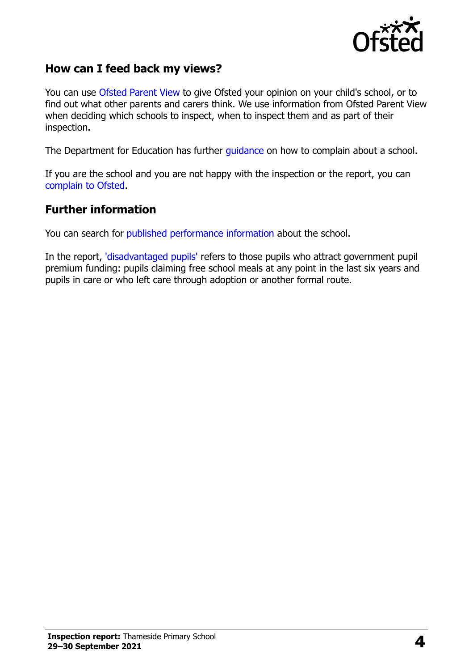

#### **How can I feed back my views?**

You can use [Ofsted Parent View](https://parentview.ofsted.gov.uk/) to give Ofsted your opinion on your child's school, or to find out what other parents and carers think. We use information from Ofsted Parent View when deciding which schools to inspect, when to inspect them and as part of their inspection.

The Department for Education has further [guidance](http://www.gov.uk/complain-about-school) on how to complain about a school.

If you are the school and you are not happy with the inspection or the report, you can [complain to Ofsted.](https://www.gov.uk/complain-ofsted-report)

#### **Further information**

You can search for [published performance information](http://www.compare-school-performance.service.gov.uk/) about the school.

In the report, ['disadvantaged pupils'](http://www.gov.uk/guidance/pupil-premium-information-for-schools-and-alternative-provision-settings) refers to those pupils who attract government pupil premium funding: pupils claiming free school meals at any point in the last six years and pupils in care or who left care through adoption or another formal route.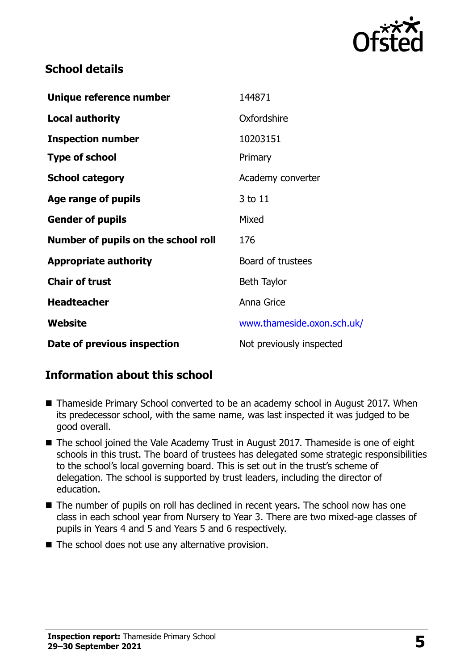

#### **School details**

| Unique reference number             | 144871                     |
|-------------------------------------|----------------------------|
| <b>Local authority</b>              | Oxfordshire                |
| <b>Inspection number</b>            | 10203151                   |
| <b>Type of school</b>               | Primary                    |
| <b>School category</b>              | Academy converter          |
| Age range of pupils                 | 3 to 11                    |
| <b>Gender of pupils</b>             | Mixed                      |
| Number of pupils on the school roll | 176                        |
| <b>Appropriate authority</b>        | Board of trustees          |
| <b>Chair of trust</b>               | Beth Taylor                |
| <b>Headteacher</b>                  | Anna Grice                 |
| Website                             | www.thameside.oxon.sch.uk/ |
| Date of previous inspection         | Not previously inspected   |

# **Information about this school**

- Thameside Primary School converted to be an academy school in August 2017. When its predecessor school, with the same name, was last inspected it was judged to be good overall.
- The school joined the Vale Academy Trust in August 2017. Thameside is one of eight schools in this trust. The board of trustees has delegated some strategic responsibilities to the school's local governing board. This is set out in the trust's scheme of delegation. The school is supported by trust leaders, including the director of education.
- The number of pupils on roll has declined in recent years. The school now has one class in each school year from Nursery to Year 3. There are two mixed-age classes of pupils in Years 4 and 5 and Years 5 and 6 respectively.
- The school does not use any alternative provision.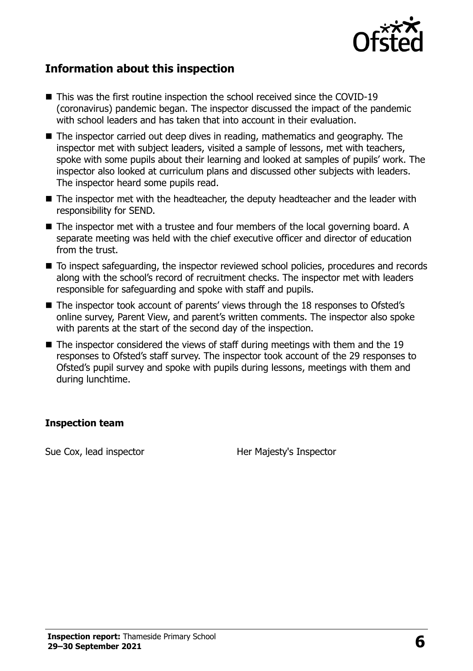

#### **Information about this inspection**

- This was the first routine inspection the school received since the COVID-19 (coronavirus) pandemic began. The inspector discussed the impact of the pandemic with school leaders and has taken that into account in their evaluation.
- The inspector carried out deep dives in reading, mathematics and geography. The inspector met with subject leaders, visited a sample of lessons, met with teachers, spoke with some pupils about their learning and looked at samples of pupils' work. The inspector also looked at curriculum plans and discussed other subjects with leaders. The inspector heard some pupils read.
- The inspector met with the headteacher, the deputy headteacher and the leader with responsibility for SEND.
- The inspector met with a trustee and four members of the local governing board. A separate meeting was held with the chief executive officer and director of education from the trust.
- To inspect safeguarding, the inspector reviewed school policies, procedures and records along with the school's record of recruitment checks. The inspector met with leaders responsible for safeguarding and spoke with staff and pupils.
- The inspector took account of parents' views through the 18 responses to Ofsted's online survey, Parent View, and parent's written comments. The inspector also spoke with parents at the start of the second day of the inspection.
- $\blacksquare$  The inspector considered the views of staff during meetings with them and the 19 responses to Ofsted's staff survey. The inspector took account of the 29 responses to Ofsted's pupil survey and spoke with pupils during lessons, meetings with them and during lunchtime.

#### **Inspection team**

Sue Cox, lead inspector Her Majesty's Inspector